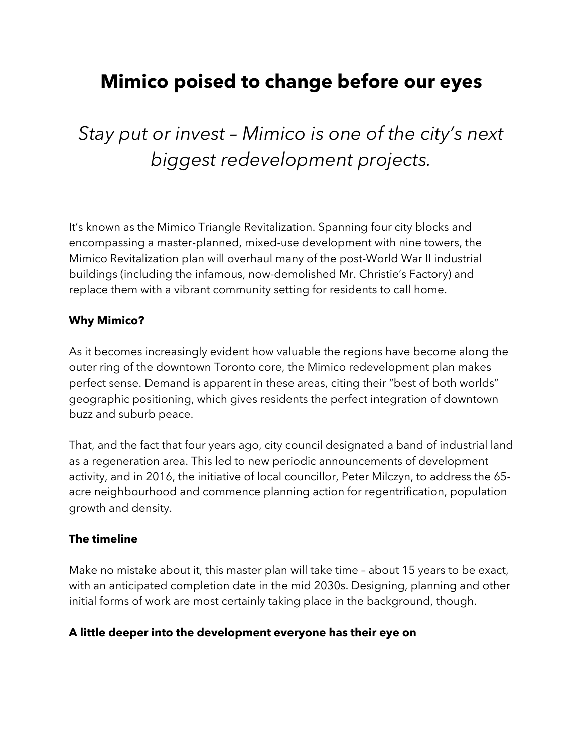## **Mimico poised to change before our eyes**

# *Stay put or invest – Mimico is one of the city's next biggest redevelopment projects.*

It's known as the Mimico Triangle Revitalization. Spanning four city blocks and encompassing a master-planned, mixed-use development with nine towers, the Mimico Revitalization plan will overhaul many of the post-World War II industrial buildings (including the infamous, now-demolished Mr. Christie's Factory) and replace them with a vibrant community setting for residents to call home.

#### **Why Mimico?**

As it becomes increasingly evident how valuable the regions have become along the outer ring of the downtown Toronto core, the Mimico redevelopment plan makes perfect sense. Demand is apparent in these areas, citing their "best of both worlds" geographic positioning, which gives residents the perfect integration of downtown buzz and suburb peace.

That, and the fact that four years ago, city council designated a band of industrial land as a regeneration area. This led to new periodic announcements of development activity, and in 2016, the initiative of local councillor, Peter Milczyn, to address the 65 acre neighbourhood and commence planning action for regentrification, population growth and density.

#### **The timeline**

Make no mistake about it, this master plan will take time – about 15 years to be exact, with an anticipated completion date in the mid 2030s. Designing, planning and other initial forms of work are most certainly taking place in the background, though.

#### **A little deeper into the development everyone has their eye on**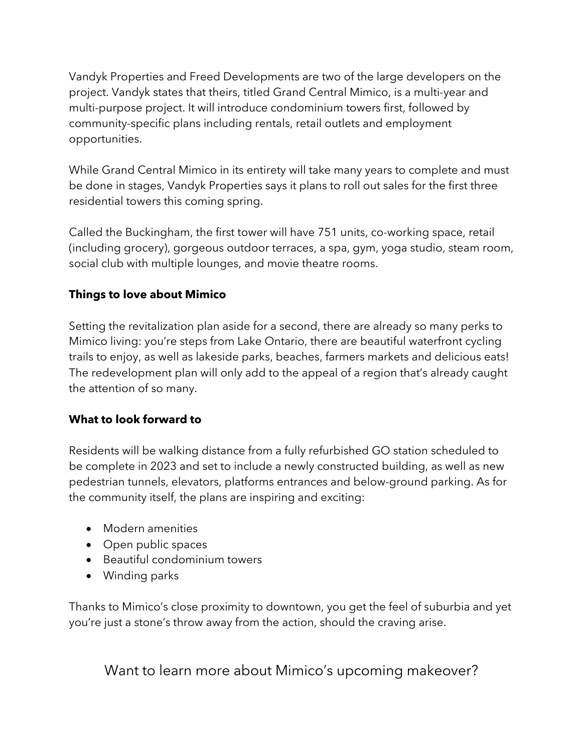Vandyk Properties and Freed Developments are two of the large developers on the project. Vandyk states that theirs, titled Grand Central Mimico, is a multi-year and multi-purpose project. It will introduce condominium towers first, followed by community-specific plans including rentals, retail outlets and employment opportunities.

While Grand Central Mimico in its entirety will take many years to complete and must be done in stages, Vandyk Properties says it plans to roll out sales for the first three residential towers this coming spring.

Called the Buckingham, the first tower will have 751 units, co-working space, retail (including grocery), gorgeous outdoor terraces, a spa, gym, yoga studio, steam room, social club with multiple lounges, and movie theatre rooms.

## **Things to love about Mimico**

Setting the revitalization plan aside for a second, there are already so many perks to Mimico living: you're steps from Lake Ontario, there are beautiful waterfront cycling trails to enjoy, as well as lakeside parks, beaches, farmers markets and delicious eats! The redevelopment plan will only add to the appeal of a region that's already caught the attention of so many.

## **What to look forward to**

Residents will be walking distance from a fully refurbished GO station scheduled to be complete in 2023 and set to include a newly constructed building, as well as new pedestrian tunnels, elevators, platforms entrances and below-ground parking. As for the community itself, the plans are inspiring and exciting:

- Modern amenities
- Open public spaces
- Beautiful condominium towers
- Winding parks

Thanks to Mimico's close proximity to downtown, you get the feel of suburbia and yet you're just a stone's throw away from the action, should the craving arise.

Want to learn more about Mimico's upcoming makeover?